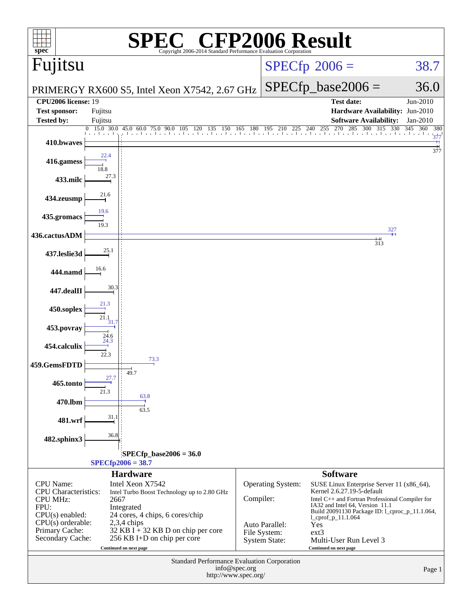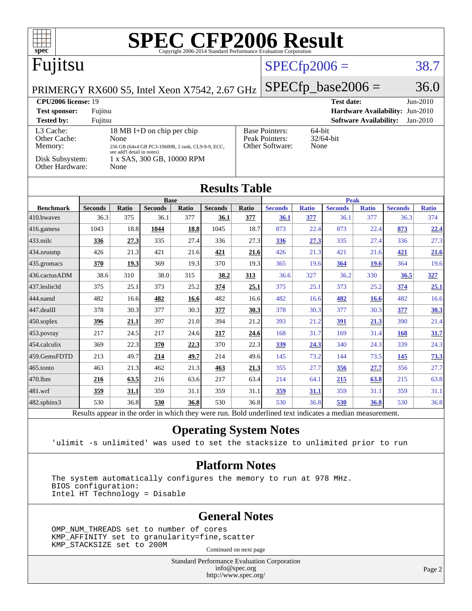| spec <sup>®</sup>                                                                                                                                             |                        |                     |                            |              | <b>SPEC CFP2006 Result</b><br>Copyright 2006-2014 Standard Performance Evaluation Corporation            |              |                        |                     |                        |                               |                                 |                     |
|---------------------------------------------------------------------------------------------------------------------------------------------------------------|------------------------|---------------------|----------------------------|--------------|----------------------------------------------------------------------------------------------------------|--------------|------------------------|---------------------|------------------------|-------------------------------|---------------------------------|---------------------|
| Fujitsu                                                                                                                                                       |                        |                     |                            |              |                                                                                                          |              |                        | $SPECfp2006 =$      |                        |                               |                                 | 38.7                |
| PRIMERGY RX600 S5, Intel Xeon X7542, 2.67 GHz                                                                                                                 |                        |                     |                            |              |                                                                                                          |              |                        |                     | $SPECfp\_base2006 =$   |                               |                                 | 36.0                |
| <b>CPU2006 license: 19</b>                                                                                                                                    |                        |                     |                            |              |                                                                                                          |              |                        |                     | <b>Test date:</b>      |                               |                                 | Jun-2010            |
| <b>Test sponsor:</b>                                                                                                                                          | Fujitsu                |                     |                            |              |                                                                                                          |              |                        |                     |                        |                               | Hardware Availability: Jun-2010 |                     |
| <b>Tested by:</b>                                                                                                                                             | Fujitsu                |                     |                            |              |                                                                                                          |              |                        |                     |                        | <b>Software Availability:</b> |                                 | Jan-2010            |
| 18 MB I+D on chip per chip<br>L3 Cache:<br>Other Cache:<br>None<br>Memory:<br>256 GB (64x4 GB PC3-10600R, 2 rank, CL9-9-9, ECC,<br>see add'l detail in notes) |                        |                     |                            |              | <b>Base Pointers:</b><br>64-bit<br>Peak Pointers:<br>32/64-bit<br>Other Software:<br>None                |              |                        |                     |                        |                               |                                 |                     |
| Disk Subsystem:<br><b>Other Hardware:</b>                                                                                                                     |                        | None                | 1 x SAS, 300 GB, 10000 RPM |              |                                                                                                          |              |                        |                     |                        |                               |                                 |                     |
| <b>Results Table</b>                                                                                                                                          |                        |                     |                            |              |                                                                                                          |              |                        |                     |                        |                               |                                 |                     |
|                                                                                                                                                               |                        |                     | <b>Base</b>                |              |                                                                                                          |              |                        |                     | <b>Peak</b>            |                               |                                 |                     |
| <b>Benchmark</b><br>410.bwayes                                                                                                                                | <b>Seconds</b><br>36.3 | <b>Ratio</b><br>375 | <b>Seconds</b><br>36.1     | Ratio<br>377 | <b>Seconds</b><br>36.1                                                                                   | Ratio<br>377 | <b>Seconds</b><br>36.1 | <b>Ratio</b><br>377 | <b>Seconds</b><br>36.1 | <b>Ratio</b><br>377           | <b>Seconds</b><br>36.3          | <b>Ratio</b><br>374 |
| $416$ .gamess                                                                                                                                                 | 1043                   | 18.8                | 1044                       | 18.8         | 1045                                                                                                     | 18.7         | 873                    | 22.4                | 873                    | 22.4                          | 873                             | 22.4                |
| 433.milc                                                                                                                                                      | 336                    | 27.3                | 335                        | 27.4         | 336                                                                                                      | 27.3         | 336                    | 27.3                | 335                    | 27.4                          | 336                             | 27.3                |
| 434.zeusmp                                                                                                                                                    | 426                    | 21.3                | 421                        | 21.6         | 421                                                                                                      | 21.6         | 426                    | 21.3                | 421                    | 21.6                          | 421                             | 21.6                |
| 435.gromacs                                                                                                                                                   | 370                    | 19.3                | 369                        | 19.3         | 370                                                                                                      | 19.3         | 365                    | 19.6                | 364                    | <b>19.6</b>                   | 364                             | 19.6                |
| 436.cactusADM                                                                                                                                                 | 38.6                   | 310                 | 38.0                       | 315          | 38.2                                                                                                     | 313          | 36.6                   | 327                 | 36.2                   | 330                           | 36.5                            | 327                 |
| 437.leslie3d                                                                                                                                                  | 375                    | 25.1                | 373                        | 25.2         | 374                                                                                                      | 25.1         | 375                    | 25.1                | 373                    | 25.2                          | 374                             | 25.1                |
| 444.namd                                                                                                                                                      | 482                    | 16.6                | 482                        | 16.6         | 482                                                                                                      | 16.6         | 482                    | 16.6                | 482                    | <b>16.6</b>                   | 482                             | 16.6                |
| 447.dealII                                                                                                                                                    | 378                    | 30.3                | 377                        | 30.3         | 377                                                                                                      | 30.3         | 378                    | 30.3                | 377                    | 30.3                          | 377                             | 30.3                |
| $450$ .soplex                                                                                                                                                 | 396                    | 21.1                | 397                        | 21.0         | 394                                                                                                      | 21.2         | 393                    | 21.2                | 391                    | 21.3                          | 390                             | 21.4                |
| $453$ . povray                                                                                                                                                | 217                    | 24.5                | 217                        | 24.6         | 217                                                                                                      | 24.6         | 168                    | 31.7                | 169                    | 31.4                          | 168                             | 31.7                |
| 454.calculix                                                                                                                                                  | 369                    | 22.3                | 370                        | 22.3         | 370                                                                                                      | 22.3         | 339                    | 24.3                | 340                    | 24.3                          | 339                             | 24.3                |
| 459.GemsFDTD                                                                                                                                                  | 213                    | 49.7                | 214                        | 49.7         | 214                                                                                                      | 49.6         | 145                    | 73.2                | 144                    | 73.5                          | 145                             | 73.3                |
| 465.tonto                                                                                                                                                     | 463                    | 21.3                | 462                        | 21.3         | 463                                                                                                      | 21.3         | 355                    | 27.7                | 356                    | 27.7                          | 356                             | 27.7                |
| 470.1bm                                                                                                                                                       | 216                    | 63.5                | 216                        | 63.6         | 217                                                                                                      | 63.4         | 214                    | 64.1                | 215                    | 63.8                          | 215                             | 63.8                |
| 481.wrf                                                                                                                                                       | 359                    | 31.1                | 359                        | 31.1         | 359                                                                                                      | 31.1         | 359                    | 31.1                | 359                    | 31.1                          | 359                             | 31.1                |
| $482$ .sphinx $3$                                                                                                                                             | 530                    | 36.8                | 530                        | 36.8         | 530                                                                                                      | 36.8         | 530                    | 36.8                | 530                    | 36.8                          | 530                             | 36.8                |
|                                                                                                                                                               |                        |                     |                            |              | Results appear in the order in which they were run. Bold underlined text indicates a median measurement. |              |                        |                     |                        |                               |                                 |                     |

#### **[Operating System Notes](http://www.spec.org/auto/cpu2006/Docs/result-fields.html#OperatingSystemNotes)**

'ulimit -s unlimited' was used to set the stacksize to unlimited prior to run

#### **[Platform Notes](http://www.spec.org/auto/cpu2006/Docs/result-fields.html#PlatformNotes)**

 The system automatically configures the memory to run at 978 MHz. BIOS configuration: Intel HT Technology = Disable

#### **[General Notes](http://www.spec.org/auto/cpu2006/Docs/result-fields.html#GeneralNotes)**

 OMP\_NUM\_THREADS set to number of cores KMP\_AFFINITY set to granularity=fine,scatter KMP\_STACKSIZE set to 200M

Continued on next page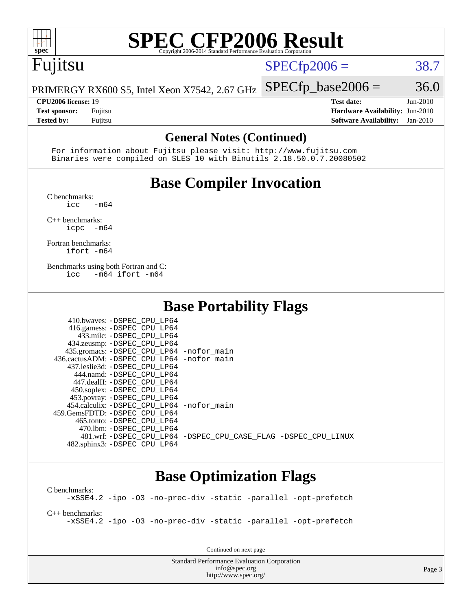

# **[SPEC CFP2006 Result](http://www.spec.org/auto/cpu2006/Docs/result-fields.html#SPECCFP2006Result)**

# Fujitsu

 $SPECfp2006 = 38.7$  $SPECfp2006 = 38.7$ 

PRIMERGY RX600 S5, Intel Xeon X7542, 2.67 GHz  $SPECfp\_base2006 = 36.0$ 

**[CPU2006 license:](http://www.spec.org/auto/cpu2006/Docs/result-fields.html#CPU2006license)** 19 **[Test date:](http://www.spec.org/auto/cpu2006/Docs/result-fields.html#Testdate)** Jun-2010 **[Test sponsor:](http://www.spec.org/auto/cpu2006/Docs/result-fields.html#Testsponsor)** Fujitsu **[Hardware Availability:](http://www.spec.org/auto/cpu2006/Docs/result-fields.html#HardwareAvailability)** Jun-2010 **[Tested by:](http://www.spec.org/auto/cpu2006/Docs/result-fields.html#Testedby)** Fujitsu **[Software Availability:](http://www.spec.org/auto/cpu2006/Docs/result-fields.html#SoftwareAvailability)** Jan-2010

#### **[General Notes \(Continued\)](http://www.spec.org/auto/cpu2006/Docs/result-fields.html#GeneralNotes)**

 For information about Fujitsu please visit: <http://www.fujitsu.com> Binaries were compiled on SLES 10 with Binutils 2.18.50.0.7.20080502

## **[Base Compiler Invocation](http://www.spec.org/auto/cpu2006/Docs/result-fields.html#BaseCompilerInvocation)**

[C benchmarks](http://www.spec.org/auto/cpu2006/Docs/result-fields.html#Cbenchmarks):

 $\text{icc}$   $-\text{m64}$ 

[C++ benchmarks:](http://www.spec.org/auto/cpu2006/Docs/result-fields.html#CXXbenchmarks) [icpc -m64](http://www.spec.org/cpu2006/results/res2010q3/cpu2006-20100702-12057.flags.html#user_CXXbase_intel_icpc_64bit_bedb90c1146cab66620883ef4f41a67e)

[Fortran benchmarks](http://www.spec.org/auto/cpu2006/Docs/result-fields.html#Fortranbenchmarks): [ifort -m64](http://www.spec.org/cpu2006/results/res2010q3/cpu2006-20100702-12057.flags.html#user_FCbase_intel_ifort_64bit_ee9d0fb25645d0210d97eb0527dcc06e)

[Benchmarks using both Fortran and C](http://www.spec.org/auto/cpu2006/Docs/result-fields.html#BenchmarksusingbothFortranandC): [icc -m64](http://www.spec.org/cpu2006/results/res2010q3/cpu2006-20100702-12057.flags.html#user_CC_FCbase_intel_icc_64bit_0b7121f5ab7cfabee23d88897260401c) [ifort -m64](http://www.spec.org/cpu2006/results/res2010q3/cpu2006-20100702-12057.flags.html#user_CC_FCbase_intel_ifort_64bit_ee9d0fb25645d0210d97eb0527dcc06e)

#### **[Base Portability Flags](http://www.spec.org/auto/cpu2006/Docs/result-fields.html#BasePortabilityFlags)**

| 410.bwaves: -DSPEC CPU LP64                  |                                                                |
|----------------------------------------------|----------------------------------------------------------------|
| 416.gamess: -DSPEC_CPU_LP64                  |                                                                |
| 433.milc: -DSPEC CPU LP64                    |                                                                |
| 434.zeusmp: -DSPEC_CPU_LP64                  |                                                                |
| 435.gromacs: -DSPEC_CPU_LP64 -nofor_main     |                                                                |
| 436.cactusADM: - DSPEC CPU LP64 - nofor main |                                                                |
| 437.leslie3d: -DSPEC CPU LP64                |                                                                |
| 444.namd: -DSPEC CPU LP64                    |                                                                |
| 447.dealII: -DSPEC_CPU LP64                  |                                                                |
| 450.soplex: -DSPEC CPU LP64                  |                                                                |
| 453.povray: -DSPEC_CPU_LP64                  |                                                                |
| 454.calculix: - DSPEC CPU LP64 - nofor main  |                                                                |
| 459. GemsFDTD: - DSPEC CPU LP64              |                                                                |
| 465.tonto: - DSPEC CPU LP64                  |                                                                |
| 470.1bm: - DSPEC CPU LP64                    |                                                                |
|                                              | 481.wrf: -DSPEC CPU_LP64 -DSPEC_CPU_CASE_FLAG -DSPEC_CPU_LINUX |
| 482.sphinx3: -DSPEC_CPU_LP64                 |                                                                |

#### **[Base Optimization Flags](http://www.spec.org/auto/cpu2006/Docs/result-fields.html#BaseOptimizationFlags)**

[C benchmarks](http://www.spec.org/auto/cpu2006/Docs/result-fields.html#Cbenchmarks): [-xSSE4.2](http://www.spec.org/cpu2006/results/res2010q3/cpu2006-20100702-12057.flags.html#user_CCbase_f-xSSE42_f91528193cf0b216347adb8b939d4107) [-ipo](http://www.spec.org/cpu2006/results/res2010q3/cpu2006-20100702-12057.flags.html#user_CCbase_f-ipo) [-O3](http://www.spec.org/cpu2006/results/res2010q3/cpu2006-20100702-12057.flags.html#user_CCbase_f-O3) [-no-prec-div](http://www.spec.org/cpu2006/results/res2010q3/cpu2006-20100702-12057.flags.html#user_CCbase_f-no-prec-div) [-static](http://www.spec.org/cpu2006/results/res2010q3/cpu2006-20100702-12057.flags.html#user_CCbase_f-static) [-parallel](http://www.spec.org/cpu2006/results/res2010q3/cpu2006-20100702-12057.flags.html#user_CCbase_f-parallel) [-opt-prefetch](http://www.spec.org/cpu2006/results/res2010q3/cpu2006-20100702-12057.flags.html#user_CCbase_f-opt-prefetch)

[C++ benchmarks:](http://www.spec.org/auto/cpu2006/Docs/result-fields.html#CXXbenchmarks)

[-xSSE4.2](http://www.spec.org/cpu2006/results/res2010q3/cpu2006-20100702-12057.flags.html#user_CXXbase_f-xSSE42_f91528193cf0b216347adb8b939d4107) [-ipo](http://www.spec.org/cpu2006/results/res2010q3/cpu2006-20100702-12057.flags.html#user_CXXbase_f-ipo) [-O3](http://www.spec.org/cpu2006/results/res2010q3/cpu2006-20100702-12057.flags.html#user_CXXbase_f-O3) [-no-prec-div](http://www.spec.org/cpu2006/results/res2010q3/cpu2006-20100702-12057.flags.html#user_CXXbase_f-no-prec-div) [-static](http://www.spec.org/cpu2006/results/res2010q3/cpu2006-20100702-12057.flags.html#user_CXXbase_f-static) [-parallel](http://www.spec.org/cpu2006/results/res2010q3/cpu2006-20100702-12057.flags.html#user_CXXbase_f-parallel) [-opt-prefetch](http://www.spec.org/cpu2006/results/res2010q3/cpu2006-20100702-12057.flags.html#user_CXXbase_f-opt-prefetch)

Continued on next page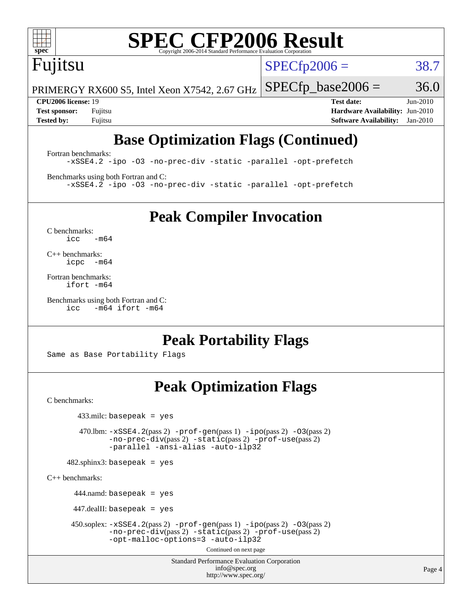

# **[SPEC CFP2006 Result](http://www.spec.org/auto/cpu2006/Docs/result-fields.html#SPECCFP2006Result)**

# Fujitsu

 $SPECTp2006 = 38.7$ 

PRIMERGY RX600 S5, Intel Xeon X7542, 2.67 GHz  $SPECTp\_base2006 = 36.0$ 

**[CPU2006 license:](http://www.spec.org/auto/cpu2006/Docs/result-fields.html#CPU2006license)** 19 **[Test date:](http://www.spec.org/auto/cpu2006/Docs/result-fields.html#Testdate)** Jun-2010 **[Test sponsor:](http://www.spec.org/auto/cpu2006/Docs/result-fields.html#Testsponsor)** Fujitsu **[Hardware Availability:](http://www.spec.org/auto/cpu2006/Docs/result-fields.html#HardwareAvailability)** Jun-2010 **[Tested by:](http://www.spec.org/auto/cpu2006/Docs/result-fields.html#Testedby)** Fujitsu **[Software Availability:](http://www.spec.org/auto/cpu2006/Docs/result-fields.html#SoftwareAvailability)** Jan-2010

## **[Base Optimization Flags \(Continued\)](http://www.spec.org/auto/cpu2006/Docs/result-fields.html#BaseOptimizationFlags)**

[Fortran benchmarks](http://www.spec.org/auto/cpu2006/Docs/result-fields.html#Fortranbenchmarks): [-xSSE4.2](http://www.spec.org/cpu2006/results/res2010q3/cpu2006-20100702-12057.flags.html#user_FCbase_f-xSSE42_f91528193cf0b216347adb8b939d4107) [-ipo](http://www.spec.org/cpu2006/results/res2010q3/cpu2006-20100702-12057.flags.html#user_FCbase_f-ipo) [-O3](http://www.spec.org/cpu2006/results/res2010q3/cpu2006-20100702-12057.flags.html#user_FCbase_f-O3) [-no-prec-div](http://www.spec.org/cpu2006/results/res2010q3/cpu2006-20100702-12057.flags.html#user_FCbase_f-no-prec-div) [-static](http://www.spec.org/cpu2006/results/res2010q3/cpu2006-20100702-12057.flags.html#user_FCbase_f-static) [-parallel](http://www.spec.org/cpu2006/results/res2010q3/cpu2006-20100702-12057.flags.html#user_FCbase_f-parallel) [-opt-prefetch](http://www.spec.org/cpu2006/results/res2010q3/cpu2006-20100702-12057.flags.html#user_FCbase_f-opt-prefetch)

[Benchmarks using both Fortran and C](http://www.spec.org/auto/cpu2006/Docs/result-fields.html#BenchmarksusingbothFortranandC): [-xSSE4.2](http://www.spec.org/cpu2006/results/res2010q3/cpu2006-20100702-12057.flags.html#user_CC_FCbase_f-xSSE42_f91528193cf0b216347adb8b939d4107) [-ipo](http://www.spec.org/cpu2006/results/res2010q3/cpu2006-20100702-12057.flags.html#user_CC_FCbase_f-ipo) [-O3](http://www.spec.org/cpu2006/results/res2010q3/cpu2006-20100702-12057.flags.html#user_CC_FCbase_f-O3) [-no-prec-div](http://www.spec.org/cpu2006/results/res2010q3/cpu2006-20100702-12057.flags.html#user_CC_FCbase_f-no-prec-div) [-static](http://www.spec.org/cpu2006/results/res2010q3/cpu2006-20100702-12057.flags.html#user_CC_FCbase_f-static) [-parallel](http://www.spec.org/cpu2006/results/res2010q3/cpu2006-20100702-12057.flags.html#user_CC_FCbase_f-parallel) [-opt-prefetch](http://www.spec.org/cpu2006/results/res2010q3/cpu2006-20100702-12057.flags.html#user_CC_FCbase_f-opt-prefetch)

**[Peak Compiler Invocation](http://www.spec.org/auto/cpu2006/Docs/result-fields.html#PeakCompilerInvocation)**

[C benchmarks](http://www.spec.org/auto/cpu2006/Docs/result-fields.html#Cbenchmarks):  $icc$   $-m64$ 

[C++ benchmarks:](http://www.spec.org/auto/cpu2006/Docs/result-fields.html#CXXbenchmarks) [icpc -m64](http://www.spec.org/cpu2006/results/res2010q3/cpu2006-20100702-12057.flags.html#user_CXXpeak_intel_icpc_64bit_bedb90c1146cab66620883ef4f41a67e)

[Fortran benchmarks](http://www.spec.org/auto/cpu2006/Docs/result-fields.html#Fortranbenchmarks): [ifort -m64](http://www.spec.org/cpu2006/results/res2010q3/cpu2006-20100702-12057.flags.html#user_FCpeak_intel_ifort_64bit_ee9d0fb25645d0210d97eb0527dcc06e)

[Benchmarks using both Fortran and C](http://www.spec.org/auto/cpu2006/Docs/result-fields.html#BenchmarksusingbothFortranandC): [icc -m64](http://www.spec.org/cpu2006/results/res2010q3/cpu2006-20100702-12057.flags.html#user_CC_FCpeak_intel_icc_64bit_0b7121f5ab7cfabee23d88897260401c) [ifort -m64](http://www.spec.org/cpu2006/results/res2010q3/cpu2006-20100702-12057.flags.html#user_CC_FCpeak_intel_ifort_64bit_ee9d0fb25645d0210d97eb0527dcc06e)

**[Peak Portability Flags](http://www.spec.org/auto/cpu2006/Docs/result-fields.html#PeakPortabilityFlags)**

Same as Base Portability Flags

## **[Peak Optimization Flags](http://www.spec.org/auto/cpu2006/Docs/result-fields.html#PeakOptimizationFlags)**

[C benchmarks](http://www.spec.org/auto/cpu2006/Docs/result-fields.html#Cbenchmarks):

433.milc: basepeak = yes

 470.lbm: [-xSSE4.2](http://www.spec.org/cpu2006/results/res2010q3/cpu2006-20100702-12057.flags.html#user_peakPASS2_CFLAGSPASS2_LDFLAGS470_lbm_f-xSSE42_f91528193cf0b216347adb8b939d4107)(pass 2) [-prof-gen](http://www.spec.org/cpu2006/results/res2010q3/cpu2006-20100702-12057.flags.html#user_peakPASS1_CFLAGSPASS1_LDFLAGS470_lbm_prof_gen_e43856698f6ca7b7e442dfd80e94a8fc)(pass 1) [-ipo](http://www.spec.org/cpu2006/results/res2010q3/cpu2006-20100702-12057.flags.html#user_peakPASS2_CFLAGSPASS2_LDFLAGS470_lbm_f-ipo)(pass 2) [-O3](http://www.spec.org/cpu2006/results/res2010q3/cpu2006-20100702-12057.flags.html#user_peakPASS2_CFLAGSPASS2_LDFLAGS470_lbm_f-O3)(pass 2) [-no-prec-div](http://www.spec.org/cpu2006/results/res2010q3/cpu2006-20100702-12057.flags.html#user_peakPASS2_CFLAGSPASS2_LDFLAGS470_lbm_f-no-prec-div)(pass 2) [-static](http://www.spec.org/cpu2006/results/res2010q3/cpu2006-20100702-12057.flags.html#user_peakPASS2_CFLAGSPASS2_LDFLAGS470_lbm_f-static)(pass 2) [-prof-use](http://www.spec.org/cpu2006/results/res2010q3/cpu2006-20100702-12057.flags.html#user_peakPASS2_CFLAGSPASS2_LDFLAGS470_lbm_prof_use_bccf7792157ff70d64e32fe3e1250b55)(pass 2) [-parallel](http://www.spec.org/cpu2006/results/res2010q3/cpu2006-20100702-12057.flags.html#user_peakOPTIMIZE470_lbm_f-parallel) [-ansi-alias](http://www.spec.org/cpu2006/results/res2010q3/cpu2006-20100702-12057.flags.html#user_peakOPTIMIZE470_lbm_f-ansi-alias) [-auto-ilp32](http://www.spec.org/cpu2006/results/res2010q3/cpu2006-20100702-12057.flags.html#user_peakCOPTIMIZE470_lbm_f-auto-ilp32)

482.sphinx3: basepeak = yes

[C++ benchmarks:](http://www.spec.org/auto/cpu2006/Docs/result-fields.html#CXXbenchmarks)

 $444$ .namd: basepeak = yes

447.dealII: basepeak = yes

 $450.\text{soplex: } -x\text{SSE4}.2(\text{pass 2}) -\text{prof-gen}(\text{pass 1}) -\text{ipo}(\text{pass 2}) -\text{O3}(\text{pass 2})$ [-no-prec-div](http://www.spec.org/cpu2006/results/res2010q3/cpu2006-20100702-12057.flags.html#user_peakPASS2_CXXFLAGSPASS2_LDFLAGS450_soplex_f-no-prec-div)(pass 2) [-static](http://www.spec.org/cpu2006/results/res2010q3/cpu2006-20100702-12057.flags.html#user_peakPASS2_CXXFLAGSPASS2_LDFLAGS450_soplex_f-static)(pass 2) [-prof-use](http://www.spec.org/cpu2006/results/res2010q3/cpu2006-20100702-12057.flags.html#user_peakPASS2_CXXFLAGSPASS2_LDFLAGS450_soplex_prof_use_bccf7792157ff70d64e32fe3e1250b55)(pass 2) [-opt-malloc-options=3](http://www.spec.org/cpu2006/results/res2010q3/cpu2006-20100702-12057.flags.html#user_peakOPTIMIZE450_soplex_f-opt-malloc-options_13ab9b803cf986b4ee62f0a5998c2238) [-auto-ilp32](http://www.spec.org/cpu2006/results/res2010q3/cpu2006-20100702-12057.flags.html#user_peakCXXOPTIMIZE450_soplex_f-auto-ilp32)

Continued on next page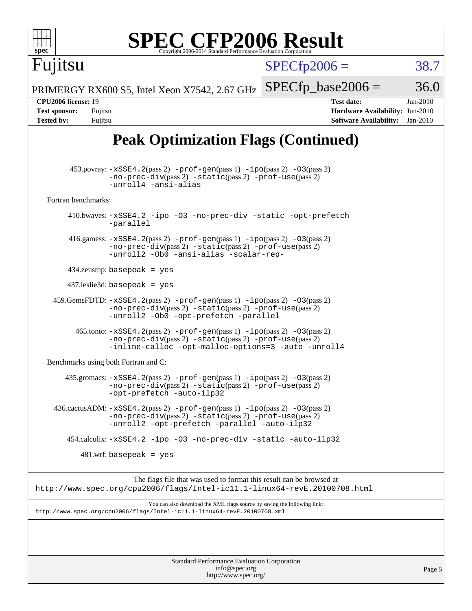| spec                                                                                          | <b>SPEC CFP2006 Result</b><br>Copyright 2006-2014 Standard Performance Evaluation Corporation                                                                                                                                 |                      |                                                                                       |                        |
|-----------------------------------------------------------------------------------------------|-------------------------------------------------------------------------------------------------------------------------------------------------------------------------------------------------------------------------------|----------------------|---------------------------------------------------------------------------------------|------------------------|
| Fuµtsu                                                                                        |                                                                                                                                                                                                                               | $SPECfp2006 =$       |                                                                                       | 38.7                   |
|                                                                                               | PRIMERGY RX600 S5, Intel Xeon X7542, 2.67 GHz                                                                                                                                                                                 | $SPECfp\_base2006 =$ |                                                                                       | 36.0                   |
| <b>CPU2006</b> license: 19<br><b>Test sponsor:</b><br>Fujitsu<br><b>Tested by:</b><br>Fujitsu |                                                                                                                                                                                                                               |                      | <b>Test date:</b><br>Hardware Availability: Jun-2010<br><b>Software Availability:</b> | Jun-2010<br>$Jan-2010$ |
|                                                                                               | <b>Peak Optimization Flags (Continued)</b>                                                                                                                                                                                    |                      |                                                                                       |                        |
|                                                                                               | $453.$ povray: $-xSSE4.2(pass2)$ -prof-gen $(pass1)$ -ipo $(pass2)$ -03 $(pass2)$<br>-no-prec-div(pass 2) -static(pass 2) -prof-use(pass 2)<br>-unroll4 -ansi-alias                                                           |                      |                                                                                       |                        |
| Fortran benchmarks:                                                                           |                                                                                                                                                                                                                               |                      |                                                                                       |                        |
|                                                                                               | 410.bwaves: -xSSE4.2 -ipo -03 -no-prec-div -static -opt-prefetch<br>-parallel                                                                                                                                                 |                      |                                                                                       |                        |
|                                                                                               | 416.gamess: $-xSSE4$ . 2(pass 2) $-prof-gen(pass 1) -ipo(pass 2) -03(pass 2)$<br>-no-prec-div(pass 2) -static(pass 2) -prof-use(pass 2)<br>-unroll2 -Ob0 -ansi-alias -scalar-rep-                                             |                      |                                                                                       |                        |
|                                                                                               | $434$ .zeusmp: basepeak = yes                                                                                                                                                                                                 |                      |                                                                                       |                        |
|                                                                                               | $437$ .leslie3d: basepeak = yes                                                                                                                                                                                               |                      |                                                                                       |                        |
|                                                                                               | $459. \text{GemsFDTD: } -x \text{SSE4}.2(\text{pass 2}) - \text{prof-gen(pass 1)} - \text{ipo(pass 2)} -03(\text{pass 2})$<br>-no-prec-div(pass 2) -static(pass 2) -prof-use(pass 2)<br>-unroll2 -0b0 -opt-prefetch -parallel |                      |                                                                                       |                        |
|                                                                                               | 465.tonto: -xSSE4.2(pass 2) -prof-gen(pass 1) -ipo(pass 2) -03(pass 2)<br>-no-prec-div(pass 2) -static(pass 2) -prof-use(pass 2)<br>-inline-calloc -opt-malloc-options=3 -auto -unroll4                                       |                      |                                                                                       |                        |
| Benchmarks using both Fortran and C:                                                          |                                                                                                                                                                                                                               |                      |                                                                                       |                        |
|                                                                                               | 435.gromacs: -xSSE4.2(pass 2) -prof-gen(pass 1) -ipo(pass 2) -03(pass 2)<br>-no-prec-div(pass 2) -static(pass 2) -prof-use(pass 2)<br>-opt-prefetch -auto-ilp32                                                               |                      |                                                                                       |                        |
|                                                                                               | $436.cactusADM: -xSSE4.2(pass2) -prof-gen(pass1) -ipo(pass2) -O3(pass2)$<br>$-no-prec-div(pass 2) -static(pass 2) -prof-use(pass 2)$<br>-unroll2 -opt-prefetch -parallel -auto-ilp32                                          |                      |                                                                                       |                        |
|                                                                                               | 454.calculix: -xSSE4.2 -ipo -03 -no-prec-div -static -auto-ilp32                                                                                                                                                              |                      |                                                                                       |                        |
|                                                                                               | $481.wrf$ : basepeak = yes                                                                                                                                                                                                    |                      |                                                                                       |                        |
|                                                                                               | The flags file that was used to format this result can be browsed at<br>http://www.spec.org/cpu2006/flags/Intel-icll.1-linux64-revE.20100708.html                                                                             |                      |                                                                                       |                        |
|                                                                                               | You can also download the XML flags source by saving the following link:<br>http://www.spec.org/cpu2006/flags/Intel-icll.1-linux64-revE.20100708.xml                                                                          |                      |                                                                                       |                        |
|                                                                                               | Standard Performance Evaluation Corporation<br>info@spec.org                                                                                                                                                                  |                      |                                                                                       |                        |
|                                                                                               | http://www.spec.org/                                                                                                                                                                                                          |                      |                                                                                       | Page 5                 |